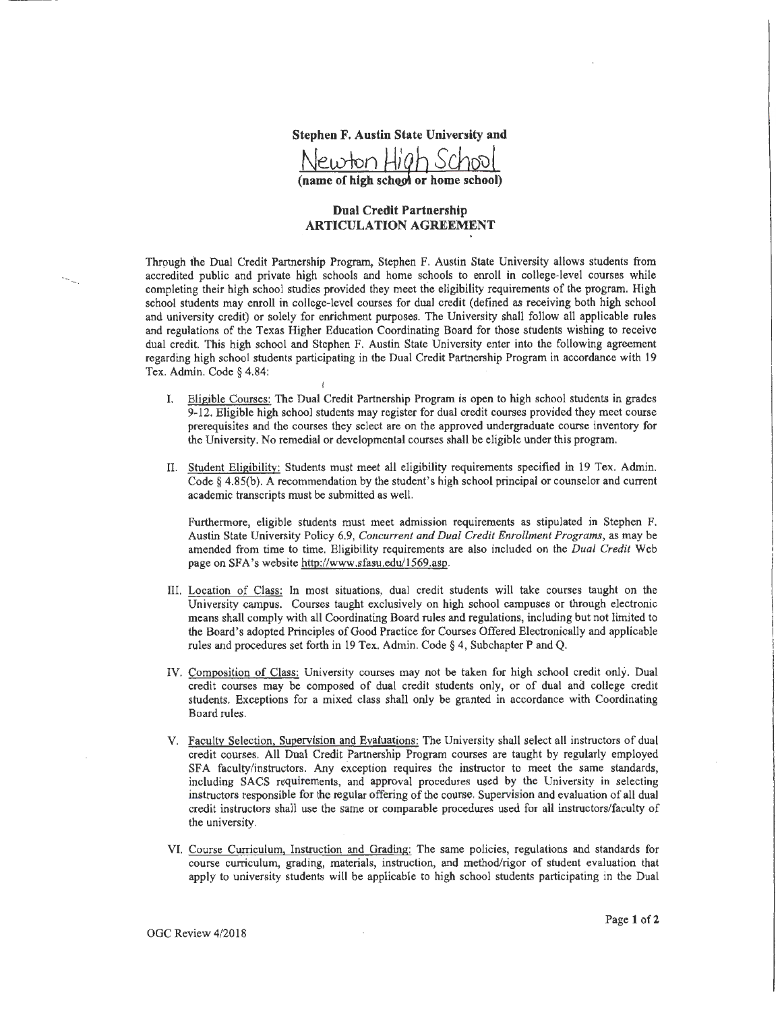

(name of high school or home school)

## **Dual Credit Partnership ARTICULATION AGREEMENT**

Through the Dual Credit Partnership Program, Stephen F. Austin State University allows students from accredited public and private high schools and home schools to enroll in college-level courses while completing their high school studies provided they meet the eligibility requirements of the program. High school students may enroll in college-level courses for dual credit (defined as receiving both high school and university credit) or solely for enrichment purposes. The University shall follow all applicable rules and regulations of the Texas Higher Education Coordinating Board for those students wishing to receive dual credit. This high school and Stephen F. Austin State University enter into the following agreement regarding high school students participating in the Dual Credit Partnership Program in accordance with 19 Tex. Admin. Code § 4.84:

I

- I. Eligible Courses: The Dual Credit Partnership Program is open to high school students in grades 9-12. Eligible high school students may register for dual credit courses provided they meet course prerequisites and the courses they select are on the approved undergraduate course inventory for the University. No remedial or developmental courses shall be eligible under this program.
- II. Student Eligibility: Students must meet all eligibility requirements specified in 19 Tex. Admin. Code§ 4.85(b). A recommendation by the student's high school principal or counselor and current academic transcripts must be submitted as well.

Furthermore, eligible students must meet admission requirements as stipulated in Stephen F. Austin State University Policy 6.9, *Concurrent and Dual Credit Enrollment Programs,* as may be amended from time to time. Eligibility requirements are also included on the *Dual Credit* Web page on SFA's website http://www.sfasu.edu/1569.asp.

- Ill. Location of Class: In most situations, dual credit students will take courses taught on the University campus. Courses taught exclusively on high school campuses or through electronic means shall comply with all Coordinating Board rules and regulations, including but not limited to the Board's adopted Principles of Good Practice for Courses Offered Electronically and applicable rules and procedures set forth in 19 Tex. Admin. Code§ 4, Subchapter P and Q.
- IV. Composition of Class: University courses may not be taken for high school credit only. Dual credit courses may be composed of dual credit students only, or of dual and college credit students. Exceptions for a mixed class shall only be granted in accordance with Coordinating Board rules.
- V. Faculty Selection, Supervision and Evaluations: The University shall select all instructors of dual credit courses. All Dual Credit Partnership Program courses are taught by regularly employed SFA faculty/instructors. Any exception requires the instructor to meet the same standards, including SACS requirements, and approval procedures used by the University in selecting instructors responsible for the regular offering of the course. Supervision and evaluation of all dual credit instructors shall use the same or comparable procedures used for all instructors/faculty of the university.
- VI. Course Curriculum, Instruction and Grading: The same policies, regulations and standards for course curriculum, grading, materials, instruction, and method/rigor of student evaluation that apply to university students will be applicable to high school students participating in the Dual

OGC Review 4/2018